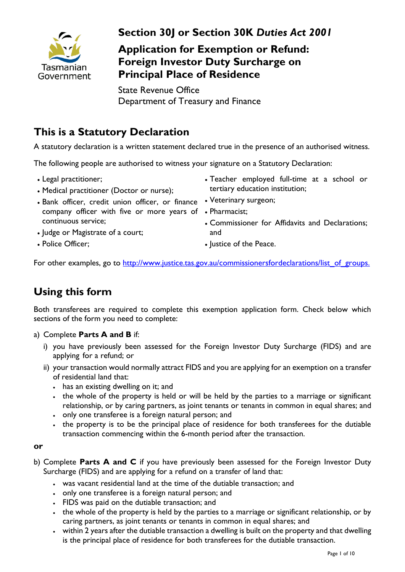

# **Section 30J or Section 30K** *Duties Act 2001* **Application for Exemption or Refund: Foreign Investor Duty Surcharge on Principal Place of Residence**

State Revenue Office Department of Treasury and Finance

# **This is a Statutory Declaration**

A statutory declaration is a written statement declared true in the presence of an authorised witness.

The following people are authorised to witness your signature on a Statutory Declaration:

- Legal practitioner;
- Medical practitioner (Doctor or nurse);
- Bank officer, credit union officer, or finance company officer with five or more years of • Pharmacist; continuous service;
- Judge or Magistrate of a court;
- Police Officer;
- Teacher employed full-time at a school or tertiary education institution;
- Veterinary surgeon;
- 
- Commissioner for Affidavits and Declarations; and
- Justice of the Peace.

For other examples, go to [http://www.justice.tas.gov.au/commissionersfordeclarations/list\\_of\\_groups.](http://www.justice.tas.gov.au/commissionersfordeclarations/list_of_groups)

# **Using this form**

Both transferees are required to complete this exemption application form. Check below which sections of the form you need to complete:

- a) Complete **Parts A and B** if:
	- i) you have previously been assessed for the Foreign Investor Duty Surcharge (FIDS) and are applying for a refund; or
	- ii) your transaction would normally attract FIDS and you are applying for an exemption on a transfer of residential land that:
		- has an existing dwelling on it; and
		- the whole of the property is held or will be held by the parties to a marriage or significant relationship, or by caring partners, as joint tenants or tenants in common in equal shares; and
		- only one transferee is a foreign natural person; and
		- the property is to be the principal place of residence for both transferees for the dutiable transaction commencing within the 6-month period after the transaction.

**or**

- b) Complete **Parts A and C** if you have previously been assessed for the Foreign Investor Duty Surcharge (FIDS) and are applying for a refund on a transfer of land that:
	- was vacant residential land at the time of the dutiable transaction; and
	- only one transferee is a foreign natural person; and
	- FIDS was paid on the dutiable transaction; and
	- the whole of the property is held by the parties to a marriage or significant relationship, or by caring partners, as joint tenants or tenants in common in equal shares; and
	- within 2 years after the dutiable transaction a dwelling is built on the property and that dwelling is the principal place of residence for both transferees for the dutiable transaction.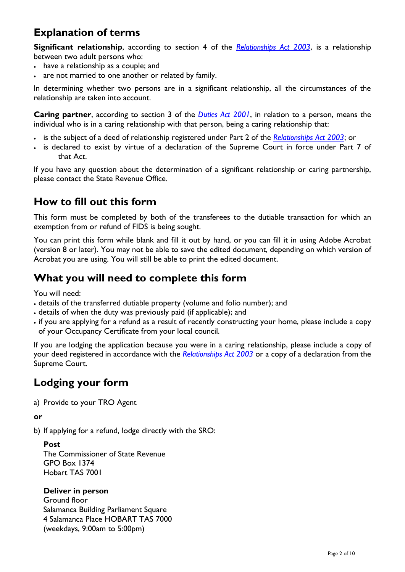## **Explanation of terms**

**Significant relationship**, according to section 4 of the *[Relationships Act 2003](https://www.legislation.tas.gov.au/view/html/inforce/current/act-2003-044)*, is a relationship between two adult persons who:

- have a relationship as a couple; and
- are not married to one another or related by family.

In determining whether two persons are in a significant relationship, all the circumstances of the relationship are taken into account.

**Caring partner**, according to section 3 of the *[Duties Act 2001](http://www.thelaw.tas.gov.au/tocview/index.w3p;cond=all;doc_id=15%2B%2B2001%2BAT%40EN%2B20140221000000;histon=;prompt=;rec=;term=Duties%20Act%202001)*, in relation to a person, means the individual who is in a caring relationship with that person, being a caring relationship that:

- is the subject of a deed of relationship registered under Part 2 of the *[Relationships Act 2003](https://www.legislation.tas.gov.au/view/html/inforce/current/act-2003-044)*; or
- is declared to exist by virtue of a declaration of the Supreme Court in force under Part 7 of that Act.

If you have any question about the determination of a significant relationship or caring partnership, please contact the State Revenue Office.

### **How to fill out this form**

This form must be completed by both of the transferees to the dutiable transaction for which an exemption from or refund of FIDS is being sought.

You can print this form while blank and fill it out by hand, or you can fill it in using Adobe Acrobat (version 8 or later). You may not be able to save the edited document, depending on which version of Acrobat you are using. You will still be able to print the edited document.

### **What you will need to complete this form**

You will need:

- details of the transferred dutiable property (volume and folio number); and
- details of when the duty was previously paid (if applicable); and
- if you are applying for a refund as a result of recently constructing your home, please include a copy of your Occupancy Certificate from your local council.

If you are lodging the application because you were in a caring relationship, please include a copy of your deed registered in accordance with the *[Relationships Act 2003](https://www.legislation.tas.gov.au/view/html/inforce/current/act-2003-044)* or a copy of a declaration from the Supreme Court.

## **Lodging your form**

a) Provide to your TRO Agent

**or** 

b) If applying for a refund, lodge directly with the SRO:

**Post**

The Commissioner of State Revenue GPO Box 1374 Hobart TAS 7001

#### **Deliver in person**

Ground floor Salamanca Building Parliament Square 4 Salamanca Place HOBART TAS 7000 (weekdays, 9:00am to 5:00pm)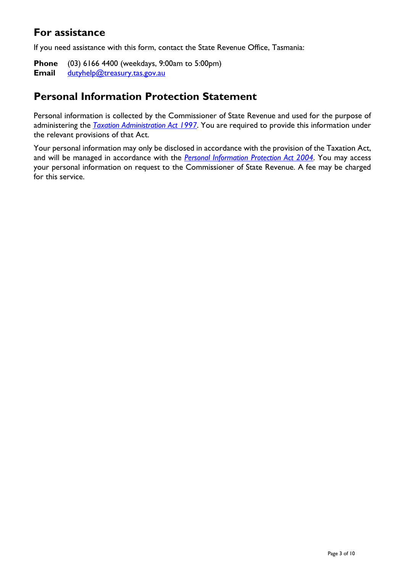## **For assistance**

If you need assistance with this form, contact the State Revenue Office, Tasmania:

**Phone** (03) 6166 4400 (weekdays, 9:00am to 5:00pm) **Email** [dutyhelp@treasury.tas.gov.au](mailto:dutyhelp@treasury.tas.gov.au)

## **Personal Information Protection Statement**

Personal information is collected by the Commissioner of State Revenue and used for the purpose of administering the *[Taxation Administration Act 1997](https://www.legislation.tas.gov.au/view/html/inforce/current/act-1997-074)*. You are required to provide this information under the relevant provisions of that Act.

Your personal information may only be disclosed in accordance with the provision of the Taxation Act, and will be managed in accordance with the *[Personal Information Protection Act 2004](https://www.legislation.tas.gov.au/view/html/inforce/current/act-2004-046)*. You may access your personal information on request to the Commissioner of State Revenue. A fee may be charged for this service.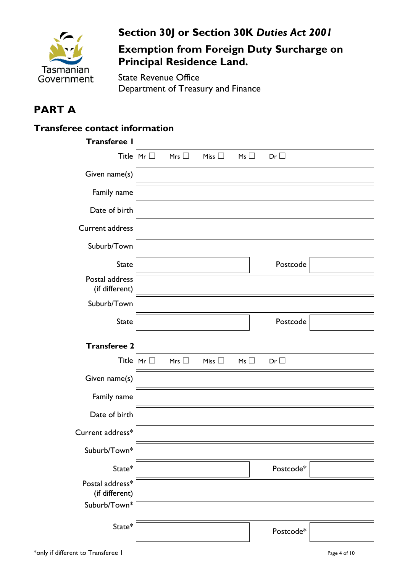

# **Section 30J or Section 30K** *Duties Act 2001* **Exemption from Foreign Duty Surcharge on Principal Residence Land.**

State Revenue Office Department of Treasury and Finance

## **PART A**

### **Transferee contact information**

| <b>Transferee I</b>              |           |               |                |    |           |  |
|----------------------------------|-----------|---------------|----------------|----|-----------|--|
| <b>Title</b>                     | Mr $\Box$ | Mrs $\Box$    | Miss $\square$ | Ms | $Dr \Box$ |  |
| Given name(s)                    |           |               |                |    |           |  |
| Family name                      |           |               |                |    |           |  |
| Date of birth                    |           |               |                |    |           |  |
| Current address                  |           |               |                |    |           |  |
| Suburb/Town                      |           |               |                |    |           |  |
| <b>State</b>                     |           |               |                |    | Postcode  |  |
| Postal address<br>(if different) |           |               |                |    |           |  |
| Suburb/Town                      |           |               |                |    |           |  |
| <b>State</b>                     |           |               |                |    | Postcode  |  |
| <b>Transferee 2</b>              |           |               |                |    |           |  |
| Title                            | Mr $\Box$ | Mrs $\square$ | Miss $\square$ | Ms | $Dr \Box$ |  |
| $Civon$ nama $(c)$               |           |               |                |    |           |  |

| $\sim$                            |           |
|-----------------------------------|-----------|
| Given name(s)                     |           |
| Family name                       |           |
| Date of birth                     |           |
| Current address*                  |           |
| Suburb/Town*                      |           |
| State*                            | Postcode* |
| Postal address*<br>(if different) |           |
| Suburb/Town*                      |           |
| State*                            | Postcode* |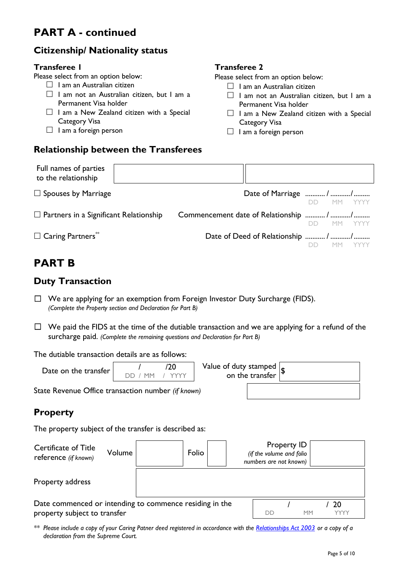# **PART A - continued**

### **Citizenship/ Nationality status**

#### **Transferee 1**

Please select from an option below:

- $\Box$  I am an Australian citizen
- $\Box$  I am not an Australian citizen, but I am a Permanent Visa holder
- $\Box$  I am a New Zealand citizen with a Special Category Visa
- $\Box$  I am a foreign person

### **Relationship between the Transferees**

#### **Transferee 2**

Please select from an option below:

- $\Box$  I am an Australian citizen
- $\Box$  I am not an Australian citizen, but I am a Permanent Visa holder
- $\Box$  I am a New Zealand citizen with a Special Category Visa
- $\Box$  I am a foreign person

| Full names of parties<br>to the relationship  |                                                 |
|-----------------------------------------------|-------------------------------------------------|
| $\Box$ Spouses by Marriage                    | Date of Marriage  / /<br>MM YYYY                |
| $\Box$ Partners in a Significant Relationship | Commencement date of Relationship //<br>MM YYYY |
| □ Caring Partners                             | Date of Deed of Relationship  /  /              |

# **PART B**

#### **Duty Transaction**

 $\Box$  We are applying for an exemption from Foreign Investor Duty Surcharge (FIDS). *(Complete the Property section and Declaration for Part B)*

 $\Box$  We paid the FIDS at the time of the dutiable transaction and we are applying for a refund of the surcharge paid. *(Complete the remaining questions and Declaration for Part B)*

The dutiable transaction details are as follows:

Date on the transfer  $/$  /20

DD / MM / YYYY

Value of duty stamped on the transfer  $\left| \mathbf{\$} \right|$ 

State Revenue Office transaction number *(if known)*

### **Property**

The property subject of the transfer is described as:

| Certificate of Title<br>reference (if known)                                            | Volume | Folio | Property ID<br>(if the volume and folio<br>numbers are not known) |  |    |  |    |  |            |
|-----------------------------------------------------------------------------------------|--------|-------|-------------------------------------------------------------------|--|----|--|----|--|------------|
| Property address                                                                        |        |       |                                                                   |  |    |  |    |  |            |
| Date commenced or intending to commence residing in the<br>property subject to transfer |        |       |                                                                   |  | DГ |  | MM |  | 20<br>YYYY |

*\*\* Please include a copy of your Caring Patner deed registered in accordance with the [Relationships Act 2003](https://www.legislation.tas.gov.au/view/html/inforce/current/act-2003-044) or a copy of a declaration from the Supreme Court.*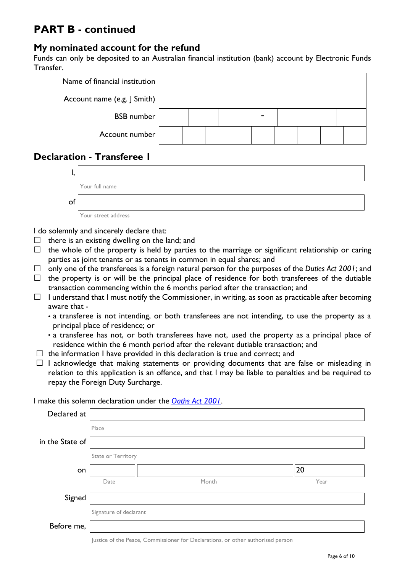## **PART B - continued**

#### **My nominated account for the refund**

Funds can only be deposited to an Australian financial institution (bank) account by Electronic Funds Transfer.

| Name of financial institution |  |  |   |  |  |
|-------------------------------|--|--|---|--|--|
| Account name (e.g. J Smith)   |  |  |   |  |  |
| <b>BSB</b> number             |  |  | - |  |  |
| Account number                |  |  |   |  |  |

#### **Declaration - Transferee 1**

| ., |                     |
|----|---------------------|
|    | Your full name      |
| of |                     |
|    | Your street address |

I do solemnly and sincerely declare that:

- $\Box$  there is an existing dwelling on the land; and
- $\Box$  the whole of the property is held by parties to the marriage or significant relationship or caring parties as joint tenants or as tenants in common in equal shares; and
- $\Box$  only one of the transferees is a foreign natural person for the purposes of the *Duties Act 2001*; and
- $\Box$  the property is or will be the principal place of residence for both transferees of the dutiable transaction commencing within the 6 months period after the transaction; and
- $\Box$  I understand that I must notify the Commissioner, in writing, as soon as practicable after becoming aware that
	- a transferee is not intending, or both transferees are not intending, to use the property as a principal place of residence; or
	- a transferee has not, or both transferees have not, used the property as a principal place of residence within the 6 month period after the relevant dutiable transaction; and
- $\Box$  the information I have provided in this declaration is true and correct; and
- $\Box$  I acknowledge that making statements or providing documents that are false or misleading in relation to this application is an offence, and that I may be liable to penalties and be required to repay the Foreign Duty Surcharge.

I make this solemn declaration under the *[Oaths Act 2001](https://www.legislation.tas.gov.au/view/html/inforce/current/act-2001-077)*.

| Declared at     |                        |       |      |  |
|-----------------|------------------------|-------|------|--|
|                 | Place                  |       |      |  |
| in the State of |                        |       |      |  |
|                 | State or Territory     |       |      |  |
| on              |                        |       | 20   |  |
|                 | Date                   | Month | Year |  |
| Signed          |                        |       |      |  |
|                 | Signature of declarant |       |      |  |
| Before me,      |                        |       |      |  |

Justice of the Peace, Commissioner for Declarations, or other authorised person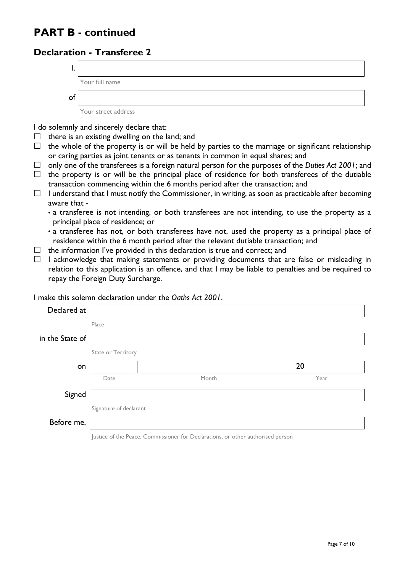## **PART B - continued**

#### **Declaration - Transferee 2**

|    | Your full name      |
|----|---------------------|
| of |                     |
|    | Your street address |

I do solemnly and sincerely declare that:

- $\Box$  there is an existing dwelling on the land; and
- $\Box$  the whole of the property is or will be held by parties to the marriage or significant relationship or caring parties as joint tenants or as tenants in common in equal shares; and
- only one of the transferees is a foreign natural person for the purposes of the *Duties Act 2001*; and
- $\Box$  the property is or will be the principal place of residence for both transferees of the dutiable transaction commencing within the 6 months period after the transaction; and
- $\Box$  I understand that I must notify the Commissioner, in writing, as soon as practicable after becoming aware that
	- a transferee is not intending, or both transferees are not intending, to use the property as a principal place of residence; or
	- a transferee has not, or both transferees have not, used the property as a principal place of residence within the 6 month period after the relevant dutiable transaction; and
- $\Box$  the information I've provided in this declaration is true and correct; and
- $\Box$  I acknowledge that making statements or providing documents that are false or misleading in relation to this application is an offence, and that I may be liable to penalties and be required to repay the Foreign Duty Surcharge.

I make this solemn declaration under the *[Oaths Act 2001](https://www.legislation.tas.gov.au/view/html/inforce/current/act-2001-077https:/www.legislation.tas.gov.au/view/html/inforce/current/act-2001-077)*.

| Declared at     |                        |       |      |  |
|-----------------|------------------------|-------|------|--|
|                 | Place                  |       |      |  |
| in the State of |                        |       |      |  |
|                 | State or Territory     |       |      |  |
| on              |                        |       | 20   |  |
|                 | Date                   | Month | Year |  |
| Signed          |                        |       |      |  |
|                 | Signature of declarant |       |      |  |
| Before me,      |                        |       |      |  |
|                 |                        |       |      |  |

Justice of the Peace, Commissioner for Declarations, or other authorised person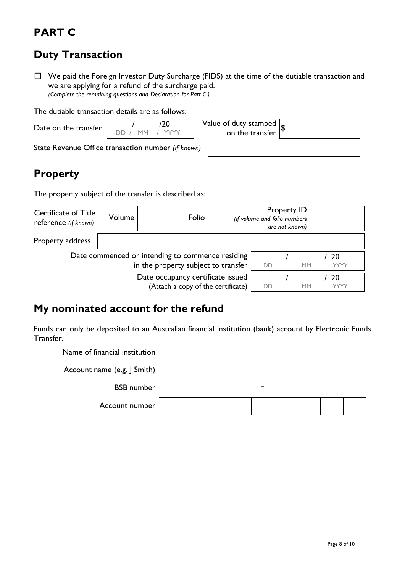# **PART C**

# **Duty Transaction**

☐ We paid the Foreign Investor Duty Surcharge (FIDS) at the time of the dutiable transaction and we are applying for a refund of the surcharge paid. *(Complete the remaining questions and Declaration for Part C.)*

The dutiable transaction details are as follows:

| Date on the transfer | MM.<br><b>MARK</b>                                 | Value of duty stamped $\vert_{\sigma}$<br>on the transfer |  |  |
|----------------------|----------------------------------------------------|-----------------------------------------------------------|--|--|
|                      | State Revenue Office transaction number (if known) |                                                           |  |  |

**Property** 

The property subject of the transfer is described as:



### **My nominated account for the refund**

Funds can only be deposited to an Australian financial institution (bank) account by Electronic Funds Transfer.

| Name of financial institution |  |  |  |  |  |
|-------------------------------|--|--|--|--|--|
| Account name (e.g. J Smith)   |  |  |  |  |  |
| <b>BSB</b> number             |  |  |  |  |  |
| Account number                |  |  |  |  |  |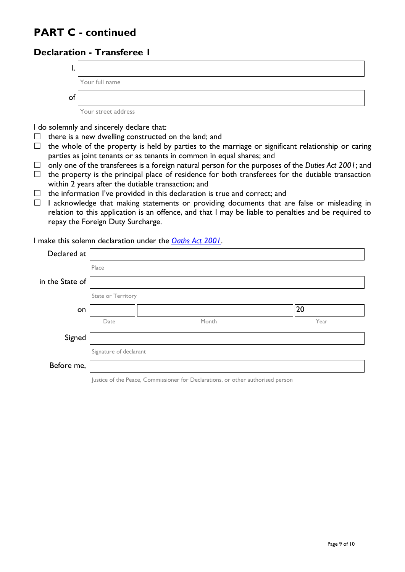### **PART C - continued**

#### **Declaration - Transferee 1**

|    | Your full name      |
|----|---------------------|
| of |                     |
|    | Your street address |

I do solemnly and sincerely declare that:

- $\Box$  there is a new dwelling constructed on the land; and
- $\Box$  the whole of the property is held by parties to the marriage or significant relationship or caring parties as joint tenants or as tenants in common in equal shares; and
- only one of the transferees is a foreign natural person for the purposes of the *Duties Act 2001*; and
- $\Box$  the property is the principal place of residence for both transferees for the dutiable transaction within 2 years after the dutiable transaction; and
- $\Box$  the information I've provided in this declaration is true and correct; and
- $\Box$  I acknowledge that making statements or providing documents that are false or misleading in relation to this application is an offence, and that I may be liable to penalties and be required to repay the Foreign Duty Surcharge.

I make this solemn declaration under the *[Oaths Act 2001](https://www.legislation.tas.gov.au/view/html/inforce/current/act-2001-077)*.

| Declared at     |                                                                                 |       |      |  |  |  |
|-----------------|---------------------------------------------------------------------------------|-------|------|--|--|--|
|                 | Place                                                                           |       |      |  |  |  |
| in the State of |                                                                                 |       |      |  |  |  |
|                 | State or Territory                                                              |       |      |  |  |  |
| on              |                                                                                 |       | 20   |  |  |  |
|                 | Date                                                                            | Month | Year |  |  |  |
| Signed          |                                                                                 |       |      |  |  |  |
|                 | Signature of declarant                                                          |       |      |  |  |  |
| Before me,      |                                                                                 |       |      |  |  |  |
|                 | Justice of the Peace, Commissioner for Declarations, or other authorised person |       |      |  |  |  |